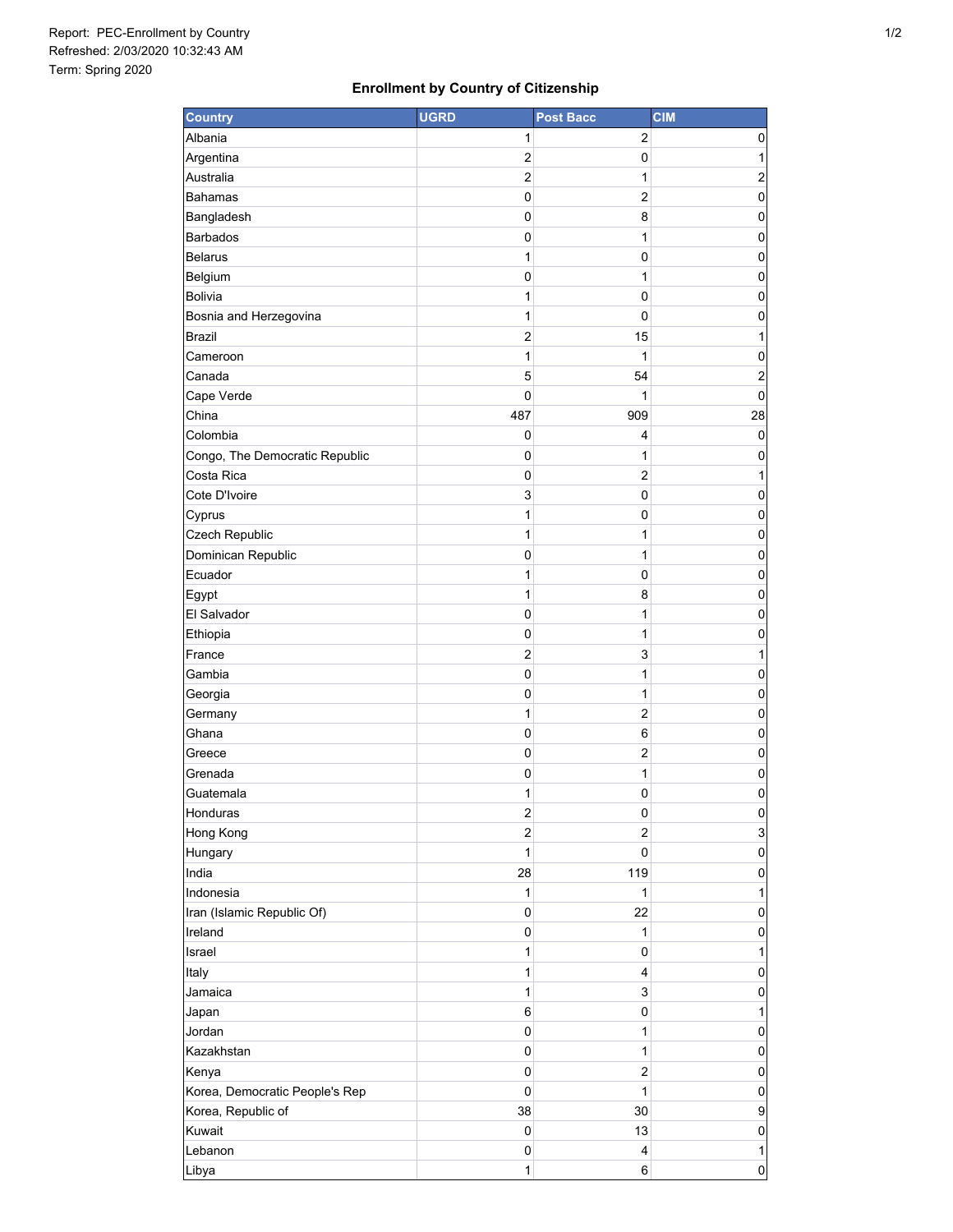## **Enrollment by Country of Citizenship**

| <b>Country</b>                        | <b>UGRD</b>    | <b>Post Bacc</b>    | <b>CIM</b>              |
|---------------------------------------|----------------|---------------------|-------------------------|
| Albania                               | 1              | 2                   | 0                       |
| Argentina                             | 2              | 0                   | 1                       |
| Australia                             | $\overline{c}$ | 1                   | 2                       |
| <b>Bahamas</b>                        | 0              | $\overline{2}$      | 0                       |
| Bangladesh                            | 0              | 8                   | 0                       |
| <b>Barbados</b>                       | $\pmb{0}$      | 1                   | 0                       |
| <b>Belarus</b>                        | 1              | 0                   | 0                       |
| Belgium                               | 0              | 1                   | 0                       |
| Bolivia                               | 1              | 0                   | 0                       |
| Bosnia and Herzegovina                | 1              | 0                   | 0                       |
| <b>Brazil</b>                         | $\overline{c}$ | 15                  | 1                       |
| Cameroon                              | 1              | 1                   | 0                       |
| Canada                                | 5              | 54                  | $\overline{\mathbf{c}}$ |
| Cape Verde                            | $\mathbf 0$    | 1                   | $\mathbf 0$             |
| China                                 | 487            | 909                 | 28                      |
| Colombia                              | 0              | 4                   | 0                       |
| Congo, The Democratic Republic        | 0              | 1                   | 0                       |
| Costa Rica                            | 0              | $\overline{2}$      | 1                       |
| Cote D'Ivoire                         | 3              | 0                   | 0                       |
| Cyprus                                | 1              | 0                   | 0                       |
| Czech Republic                        | 1              | 1                   | 0                       |
| Dominican Republic                    | 0              | 1                   | 0                       |
| Ecuador                               | 1              | 0                   | 0                       |
| Egypt                                 | 1              | 8                   | 0                       |
| El Salvador                           | 0              | 1                   | 0                       |
| Ethiopia                              | 0              | 1                   | 0                       |
| France                                | $\overline{c}$ | 3                   | 1                       |
| Gambia                                | 0              | 1                   | 0                       |
| Georgia                               | 0              | 1                   | 0                       |
| Germany                               | 1              | $\overline{c}$      | 0                       |
| Ghana                                 | 0              | 6                   | 0                       |
| Greece                                | 0              | $\overline{c}$      | 0                       |
| Grenada                               | 0              | 1                   | 0                       |
| Guatemala                             | 1              | 0                   | 0                       |
| Honduras                              | 2              | 0                   | $\pmb{0}$               |
| Hong Kong                             | $\overline{c}$ | $\overline{2}$      | $\mathsf 3$             |
| Hungary                               | 1              | 0                   | 0                       |
| India                                 | 28             | 119                 | 0                       |
| Indonesia                             | 1<br>0         | 1<br>22             | 1<br>0                  |
| Iran (Islamic Republic Of)<br>Ireland | 0              |                     |                         |
| Israel                                | 1              | 1                   | 0                       |
| Italy                                 | 1              | 0<br>4              | 1                       |
| Jamaica                               | 1              |                     | 0                       |
|                                       |                | 3                   | 0                       |
| Japan<br>Jordan                       | 6<br>0         | 0                   | 1                       |
| Kazakhstan                            |                | 1                   | 0                       |
|                                       | 0              | 1<br>$\overline{c}$ | 0                       |
| Kenya                                 | 0<br>0         |                     | 0                       |
| Korea, Democratic People's Rep        | 38             | 1<br>30             | 0                       |
| Korea, Republic of<br>Kuwait          | 0              |                     | 9                       |
| Lebanon                               | 0              | 13<br>4             | 0                       |
|                                       | 1              | 6                   | 1                       |
| Libya                                 |                |                     | 0                       |